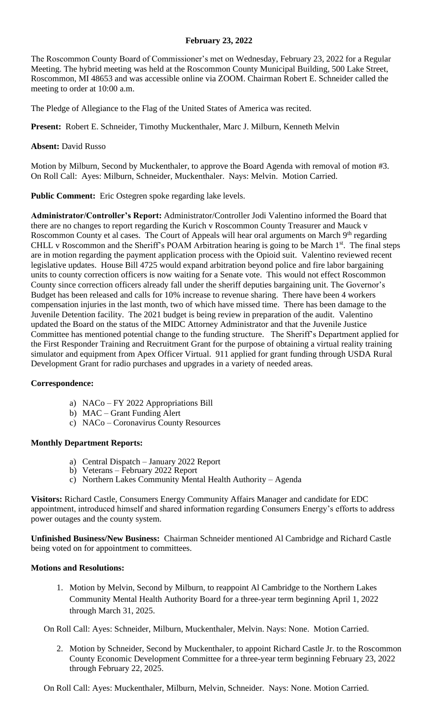## **February 23, 2022**

The Roscommon County Board of Commissioner's met on Wednesday, February 23, 2022 for a Regular Meeting. The hybrid meeting was held at the Roscommon County Municipal Building, 500 Lake Street, Roscommon, MI 48653 and was accessible online via ZOOM. Chairman Robert E. Schneider called the meeting to order at 10:00 a.m.

The Pledge of Allegiance to the Flag of the United States of America was recited.

**Present:** Robert E. Schneider, Timothy Muckenthaler, Marc J. Milburn, Kenneth Melvin

**Absent:** David Russo

Motion by Milburn, Second by Muckenthaler, to approve the Board Agenda with removal of motion #3. On Roll Call: Ayes: Milburn, Schneider, Muckenthaler. Nays: Melvin. Motion Carried.

**Public Comment:** Eric Ostegren spoke regarding lake levels.

**Administrator/Controller's Report:** Administrator/Controller Jodi Valentino informed the Board that there are no changes to report regarding the Kurich v Roscommon County Treasurer and Mauck v Roscommon County et al cases. The Court of Appeals will hear oral arguments on March 9<sup>th</sup> regarding CHLL v Roscommon and the Sheriff's POAM Arbitration hearing is going to be March 1<sup>st</sup>. The final steps are in motion regarding the payment application process with the Opioid suit. Valentino reviewed recent legislative updates. House Bill 4725 would expand arbitration beyond police and fire labor bargaining units to county correction officers is now waiting for a Senate vote. This would not effect Roscommon County since correction officers already fall under the sheriff deputies bargaining unit. The Governor's Budget has been released and calls for 10% increase to revenue sharing. There have been 4 workers compensation injuries in the last month, two of which have missed time. There has been damage to the Juvenile Detention facility. The 2021 budget is being review in preparation of the audit. Valentino updated the Board on the status of the MIDC Attorney Administrator and that the Juvenile Justice Committee has mentioned potential change to the funding structure. The Sheriff's Department applied for the First Responder Training and Recruitment Grant for the purpose of obtaining a virtual reality training simulator and equipment from Apex Officer Virtual. 911 applied for grant funding through USDA Rural Development Grant for radio purchases and upgrades in a variety of needed areas.

## **Correspondence:**

- a) NACo FY 2022 Appropriations Bill
- b) MAC Grant Funding Alert
- c) NACo Coronavirus County Resources

# **Monthly Department Reports:**

- a) Central Dispatch January 2022 Report
- b) Veterans February 2022 Report
- c) Northern Lakes Community Mental Health Authority Agenda

**Visitors:** Richard Castle, Consumers Energy Community Affairs Manager and candidate for EDC appointment, introduced himself and shared information regarding Consumers Energy's efforts to address power outages and the county system.

**Unfinished Business/New Business:** Chairman Schneider mentioned Al Cambridge and Richard Castle being voted on for appointment to committees.

## **Motions and Resolutions:**

1. Motion by Melvin, Second by Milburn, to reappoint Al Cambridge to the Northern Lakes Community Mental Health Authority Board for a three-year term beginning April 1, 2022 through March 31, 2025.

On Roll Call: Ayes: Schneider, Milburn, Muckenthaler, Melvin. Nays: None. Motion Carried.

2. Motion by Schneider, Second by Muckenthaler, to appoint Richard Castle Jr. to the Roscommon County Economic Development Committee for a three-year term beginning February 23, 2022 through February 22, 2025.

On Roll Call: Ayes: Muckenthaler, Milburn, Melvin, Schneider. Nays: None. Motion Carried.